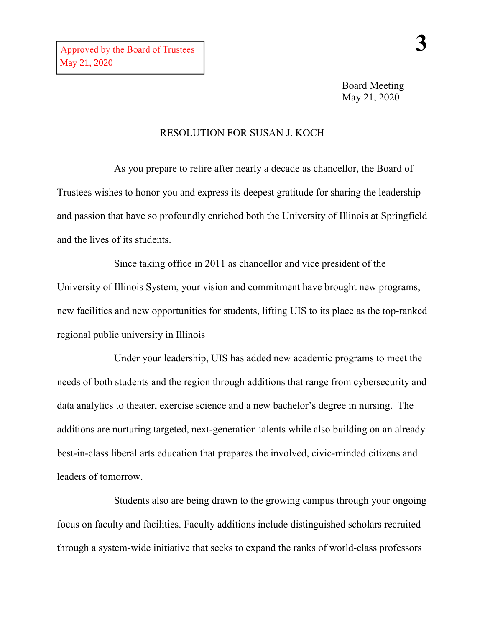## RESOLUTION FOR SUSAN J. KOCH

As you prepare to retire after nearly a decade as chancellor, the Board of Trustees wishes to honor you and express its deepest gratitude for sharing the leadership and passion that have so profoundly enriched both the University of Illinois at Springfield and the lives of its students.

Since taking office in 2011 as chancellor and vice president of the University of Illinois System, your vision and commitment have brought new programs, new facilities and new opportunities for students, lifting UIS to its place as the top-ranked regional public university in Illinois

Under your leadership, UIS has added new academic programs to meet the needs of both students and the region through additions that range from cybersecurity and data analytics to theater, exercise science and a new bachelor's degree in nursing. The additions are nurturing targeted, next-generation talents while also building on an already best-in-class liberal arts education that prepares the involved, civic-minded citizens and leaders of tomorrow.

Students also are being drawn to the growing campus through your ongoing focus on faculty and facilities. Faculty additions include distinguished scholars recruited through a system-wide initiative that seeks to expand the ranks of world-class professors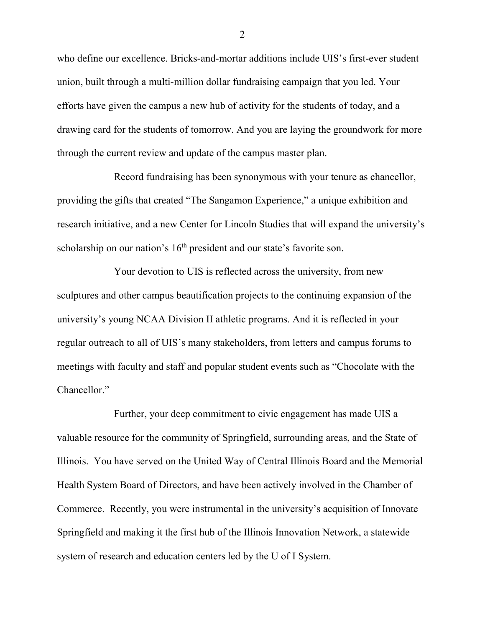who define our excellence. Bricks-and-mortar additions include UIS's first-ever student union, built through a multi-million dollar fundraising campaign that you led. Your efforts have given the campus a new hub of activity for the students of today, and a drawing card for the students of tomorrow. And you are laying the groundwork for more through the current review and update of the campus master plan.

Record fundraising has been synonymous with your tenure as chancellor, providing the gifts that created "The Sangamon Experience," a unique exhibition and research initiative, and a new Center for Lincoln Studies that will expand the university's scholarship on our nation's 16<sup>th</sup> president and our state's favorite son.

Your devotion to UIS is reflected across the university, from new sculptures and other campus beautification projects to the continuing expansion of the university's young NCAA Division II athletic programs. And it is reflected in your regular outreach to all of UIS's many stakeholders, from letters and campus forums to meetings with faculty and staff and popular student events such as "Chocolate with the Chancellor."

Further, your deep commitment to civic engagement has made UIS a valuable resource for the community of Springfield, surrounding areas, and the State of Illinois. You have served on the United Way of Central Illinois Board and the Memorial Health System Board of Directors, and have been actively involved in the Chamber of Commerce. Recently, you were instrumental in the university's acquisition of Innovate Springfield and making it the first hub of the Illinois Innovation Network, a statewide system of research and education centers led by the U of I System.

2